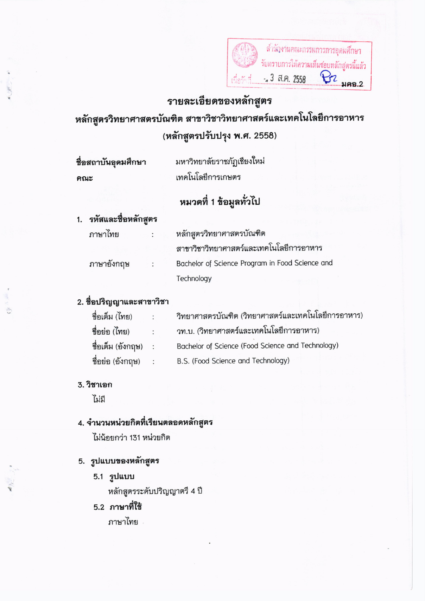

### รายละเอียดของหลักสูตร

หลักสูตรวิทยาศาสตรบัณฑิต สาขาวิชาวิทยาศาสตร์และเทคโนโลยีการอาหาร (หลักสูตรปรับปรุง พ.ศ. 2558)

ชื่อสถาบันอุดมศึกษา คณะ

มหาวิทยาลัยราชภัฏเชียงใหม่ เทคโนโลยีการเกษตร

# หมวดที่ 1 ข้อมูลทั่วไป

### 1. รหัสและชื่อหลักสูตร

ภาษาไทย

ภาษาอังกฤษ

หลักสูตรวิทยาศาสตรบัณฑิต สาขาวิชาวิทยาศาสตร์และเทคโนโลยีการอาหาร Bachelor of Science Program in Food Science and Technology

#### 2. ชื่อปริญญาและสาขาวิชา

| ชื่อเต็ม (ไทย)      | $\bullet$                 | วิทยาศาสตรบัณฑิต (วิทยาศาสตร์และเทคโนโลยีการอาหาร) |
|---------------------|---------------------------|----------------------------------------------------|
| ชื่อย่อ (ไทย)       | $\mathbb{R}^{\mathbb{Z}}$ | วท.บ. (วิทยาศาสตร์และเทคโนโลยีการอาหาร)            |
| ชื่อเต็ม (อังกฤษ) : |                           | Bachelor of Science (Food Science and Technology)  |
| ชื่อย่อ (อังกฤษ)    | - 17                      | B.S. (Food Science and Technology)                 |

#### 3. วิชาเอก

ไม่มี

#### 4. จำนวนหน่วยกิตที่เรียนตลอดหลักสูตร

ไม่น้อยกว่า 131 หน่วยกิต

#### 5. รูปแบบของหลักสูตร

5.1 รูปแบบ

หลักสูตรระดับปริญญาตรี 4 ปี

## 5.2 ภาษาที่ใช้

ภาพาไทย